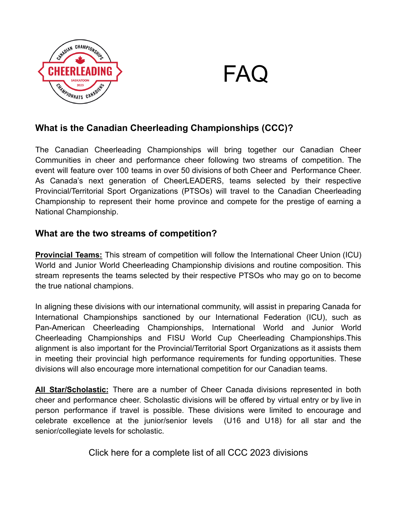

# FAQ

# **What is the Canadian Cheerleading Championships (CCC)?**

The Canadian Cheerleading Championships will bring together our Canadian Cheer Communities in cheer and performance cheer following two streams of competition. The event will feature over 100 teams in over 50 divisions of both Cheer and Performance Cheer. As Canada's next generation of CheerLEADERS, teams selected by their respective Provincial/Territorial Sport Organizations (PTSOs) will travel to the Canadian Cheerleading Championship to represent their home province and compete for the prestige of earning a National Championship.

## **What are the two streams of competition?**

**Provincial Teams:** This stream of competition will follow the International Cheer Union (ICU) World and Junior World Cheerleading Championship divisions and routine composition. This stream represents the teams selected by their respective PTSOs who may go on to become the true national champions.

In aligning these divisions with our international community, will assist in preparing Canada for International Championships sanctioned by our International Federation (ICU), such as Pan-American Cheerleading Championships, International World and Junior World Cheerleading Championships and FISU World Cup Cheerleading Championships.This alignment is also important for the Provincial/Territorial Sport Organizations as it assists them in meeting their provincial high performance requirements for funding opportunities. These divisions will also encourage more international competition for our Canadian teams.

**All Star/Scholastic:** There are a number of Cheer Canada divisions represented in both cheer and performance cheer. Scholastic divisions will be offered by virtual entry or by live in person performance if travel is possible. These divisions were limited to encourage and celebrate excellence at the junior/senior levels (U16 and U18) for all star and the senior/collegiate levels for scholastic.

Click here for a complete list of all CCC 2023 divisions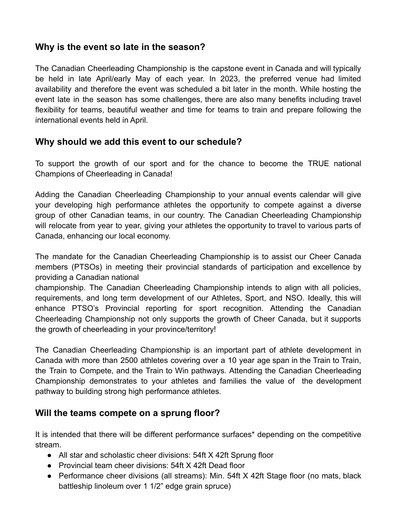#### **Why is the event so late in the season?**

The Canadian Cheerleading Championship is the capstone event in Canada and will typically be held in late April/early May of each year. In 2023, the preferred venue had limited availability and therefore the event was scheduled a bit later in the month. While hosting the event late in the season has some challenges, there are also many benefits including travel flexibility for teams, beautiful weather and time for teams to train and prepare following the international events held in April.

#### **Why should we add this event to our schedule?**

To support the growth of our sport and for the chance to become the TRUE national Champions of Cheerleading in Canada!

Adding the Canadian Cheerleading Championship to your annual events calendar will give your developing high performance athletes the opportunity to compete against a diverse group of other Canadian teams, in our country. The Canadian Cheerleading Championship will relocate from year to year, giving your athletes the opportunity to travel to various parts of Canada, enhancing our local economy.

The mandate for the Canadian Cheerleading Championship is to assist our Cheer Canada members (PTSOs) in meeting their provincial standards of participation and excellence by providing a Canadian national

championship. The Canadian Cheerleading Championship intends to align with all policies, requirements, and long term development of our Athletes, Sport, and NSO. Ideally, this will enhance PTSO's Provincial reporting for sport recognition. Attending the Canadian Cheerleading Championship not only supports the growth of Cheer Canada, but it supports the growth of cheerleading in your province/territory!

The Canadian Cheerleading Championship is an important part of athlete development in Canada with more than 2500 athletes covering over a 10 year age span in the Train to Train, the Train to Compete, and the Train to Win pathways. Attending the Canadian Cheerleading Championship demonstrates to your athletes and families the value of the development pathway to building strong high performance athletes.

#### **Will the teams compete on a sprung floor?**

It is intended that there will be different performance surfaces\* depending on the competitive stream.

- All star and scholastic cheer divisions: 54ft X 42ft Sprung floor
- Provincial team cheer divisions: 54ft X 42ft Dead floor
- Performance cheer divisions (all streams): Min. 54ft X 42ft Stage floor (no mats, black battleship linoleum over 1 1/2" edge grain spruce)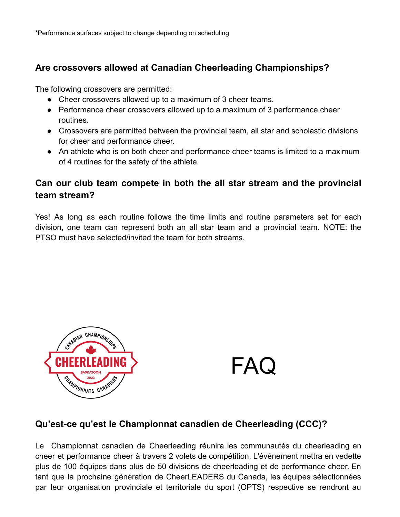# **Are crossovers allowed at Canadian Cheerleading Championships?**

The following crossovers are permitted:

- Cheer crossovers allowed up to a maximum of 3 cheer teams.
- Performance cheer crossovers allowed up to a maximum of 3 performance cheer routines.
- Crossovers are permitted between the provincial team, all star and scholastic divisions for cheer and performance cheer.
- An athlete who is on both cheer and performance cheer teams is limited to a maximum of 4 routines for the safety of the athlete.

## **Can our club team compete in both the all star stream and the provincial team stream?**

Yes! As long as each routine follows the time limits and routine parameters set for each division, one team can represent both an all star team and a provincial team. NOTE: the PTSO must have selected/invited the team for both streams.



FAQ

## **Qu'est-ce qu'est le Championnat canadien de Cheerleading (CCC)?**

Le Championnat canadien de Cheerleading réunira les communautés du cheerleading en cheer et performance cheer à travers 2 volets de compétition. L'événement mettra en vedette plus de 100 équipes dans plus de 50 divisions de cheerleading et de performance cheer. En tant que la prochaine génération de CheerLEADERS du Canada, les équipes sélectionnées par leur organisation provinciale et territoriale du sport (OPTS) respective se rendront au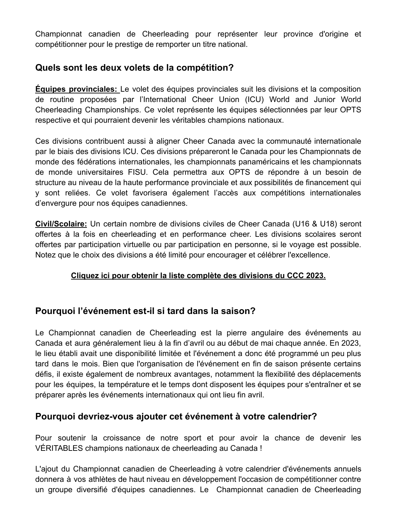Championnat canadien de Cheerleading pour représenter leur province d'origine et compétitionner pour le prestige de remporter un titre national.

# **Quels sont les deux volets de la compétition?**

**Équipes provinciales:** Le volet des équipes provinciales suit les divisions et la composition de routine proposées par l'International Cheer Union (ICU) World and Junior World Cheerleading Championships. Ce volet représente les équipes sélectionnées par leur OPTS respective et qui pourraient devenir les véritables champions nationaux.

Ces divisions contribuent aussi à aligner Cheer Canada avec la communauté internationale par le biais des divisions ICU. Ces divisions prépareront le Canada pour les Championnats de monde des fédérations internationales, les championnats panaméricains et les championnats de monde universitaires FISU. Cela permettra aux OPTS de répondre à un besoin de structure au niveau de la haute performance provinciale et aux possibilités de financement qui y sont reliées. Ce volet favorisera également l'accès aux compétitions internationales d'envergure pour nos équipes canadiennes.

**Civil/Scolaire:** Un certain nombre de divisions civiles de Cheer Canada (U16 & U18) seront offertes à la fois en cheerleading et en performance cheer. Les divisions scolaires seront offertes par participation virtuelle ou par participation en personne, si le voyage est possible. Notez que le choix des divisions a été limité pour encourager et célébrer l'excellence.

#### **Cliquez ici pour obtenir la liste complète des divisions du CCC 2023.**

#### **Pourquoi l'événement est-il si tard dans la saison?**

Le Championnat canadien de Cheerleading est la pierre angulaire des événements au Canada et aura généralement lieu à la fin d'avril ou au début de mai chaque année. En 2023, le lieu établi avait une disponibilité limitée et l'événement a donc été programmé un peu plus tard dans le mois. Bien que l'organisation de l'événement en fin de saison présente certains défis, il existe également de nombreux avantages, notamment la flexibilité des déplacements pour les équipes, la température et le temps dont disposent les équipes pour s'entraîner et se préparer après les événements internationaux qui ont lieu fin avril.

## **Pourquoi devriez-vous ajouter cet événement à votre calendrier?**

Pour soutenir la croissance de notre sport et pour avoir la chance de devenir les VÉRITABLES champions nationaux de cheerleading au Canada !

L'ajout du Championnat canadien de Cheerleading à votre calendrier d'événements annuels donnera à vos athlètes de haut niveau en développement l'occasion de compétitionner contre un groupe diversifié d'équipes canadiennes. Le Championnat canadien de Cheerleading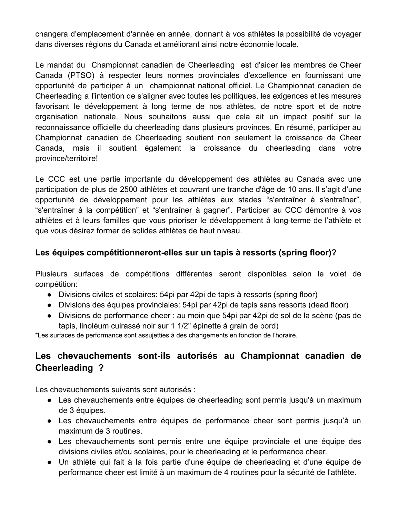changera d'emplacement d'année en année, donnant à vos athlètes la possibilité de voyager dans diverses régions du Canada et améliorant ainsi notre économie locale.

Le mandat du Championnat canadien de Cheerleading est d'aider les membres de Cheer Canada (PTSO) à respecter leurs normes provinciales d'excellence en fournissant une opportunité de participer à un championnat national officiel. Le Championnat canadien de Cheerleading a l'intention de s'aligner avec toutes les politiques, les exigences et les mesures favorisant le développement à long terme de nos athlètes, de notre sport et de notre organisation nationale. Nous souhaitons aussi que cela ait un impact positif sur la reconnaissance officielle du cheerleading dans plusieurs provinces. En résumé, participer au Championnat canadien de Cheerleading soutient non seulement la croissance de Cheer Canada, mais il soutient également la croissance du cheerleading dans votre province/territoire!

Le CCC est une partie importante du développement des athlètes au Canada avec une participation de plus de 2500 athlètes et couvrant une tranche d'âge de 10 ans. Il s'agit d'une opportunité de développement pour les athlètes aux stades "s'entraîner à s'entraîner", "s'entraîner à la compétition" et "s'entraîner à gagner". Participer au CCC démontre à vos athlètes et à leurs familles que vous prioriser le développement à long-terme de l'athlète et que vous désirez former de solides athlètes de haut niveau.

#### **Les équipes compétitionneront-elles sur un tapis à ressorts (spring floor)?**

Plusieurs surfaces de compétitions différentes seront disponibles selon le volet de compétition:

- Divisions civiles et scolaires: 54pi par 42pi de tapis à ressorts (spring floor)
- Divisions des équipes provinciales: 54pi par 42pi de tapis sans ressorts (dead floor)
- Divisions de performance cheer : au moin que 54pi par 42pi de sol de la scène (pas de tapis, linoléum cuirassé noir sur 1 1/2" épinette à grain de bord)

\*Les surfaces de performance sont assujetties à des changements en fonction de l'horaire.

# **Les chevauchements sont-ils autorisés au Championnat canadien de Cheerleading ?**

Les chevauchements suivants sont autorisés :

- Les chevauchements entre équipes de cheerleading sont permis jusqu'à un maximum de 3 équipes.
- Les chevauchements entre équipes de performance cheer sont permis jusqu'à un maximum de 3 routines.
- Les chevauchements sont permis entre une équipe provinciale et une équipe des divisions civiles et/ou scolaires, pour le cheerleading et le performance cheer.
- Un athlète qui fait à la fois partie d'une équipe de cheerleading et d'une équipe de performance cheer est limité à un maximum de 4 routines pour la sécurité de l'athlète.